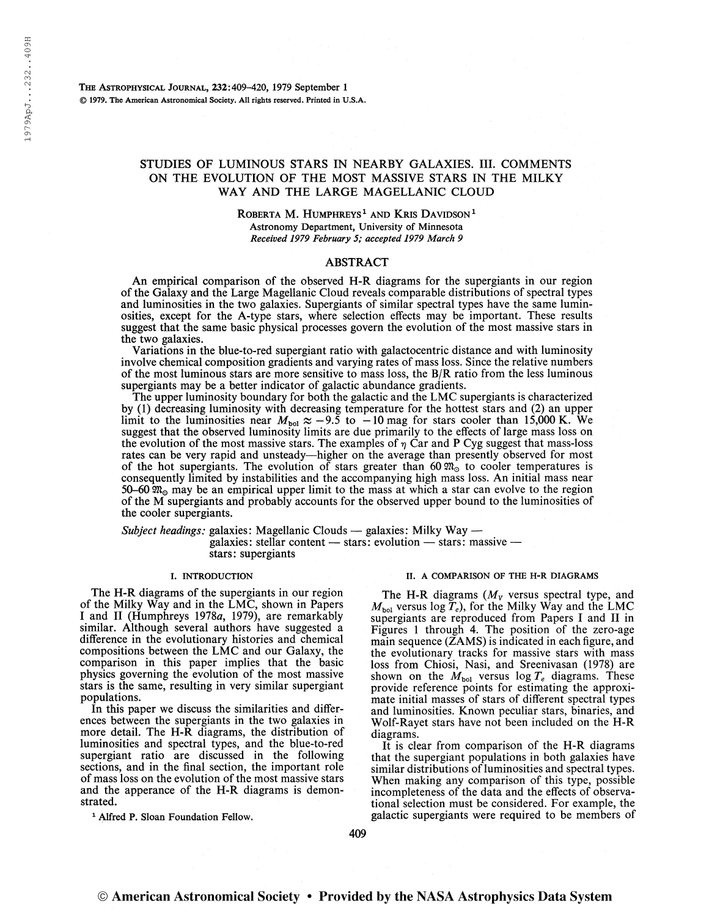The Astrophysical Journal, 232:409-420, 1979 September <sup>1</sup> © 1979. The American Astronomical Society. All rights reserved. Printed in U.S.A.

# STUDIES OF LUMINOUS STARS IN NEARBY GALAXIES. III. COMMENTS ON THE EVOLUTION OF THE MOST MASSIVE STARS IN THE MILKY WAY AND THE LARGE MAGELLANIC CLOUD

 $\,$ Roberta M. Humphreys $^1$  and Kris Davidson $^1$ Astronomy Department, University of Minnesota Received 1979 February 5; accepted 1979 March 9

## ABSTRACT

An empirical comparison of the observed H-R diagrams for the supergiants in our region ofthe Galaxy and the Large Magellanic Cloud reveals comparable distributions of spectral types and luminosities in the two galaxies. Supergiants of similar spectral types have the same luminosities, except for the A-type stars, where selection effects may be important. These results suggest that the same basic physical processes govern the evolution of the most massive stars in the two galaxies.

Variations in the blue-to-red supergiant ratio with galactocentric distance and with luminosity involve chemical composition gradients and varying rates of mass loss. Since the relative numbers of the most luminous stars are more sensitive to mass loss, the B/R ratio from the less luminous supergiants may be a better indicator of galactic abundance gradients.

The upper luminosity boundary for both the galactic and the LMC supergiants is characterized by (1) decreasing luminosity with decreasing temperature for the hottest stars and (2) an upper<br>limit to the luminosities near  $M_{\text{pol}} \approx -9.5$  to  $-10$  mag for stars cooler than 15,000 K. We suggest that the observed luminosity limits are due primarily to the effects of large mass loss on the evolution of the most massive stars. The examples of  $\eta$  Car and P Cyg suggest that mass-loss rates can be very rapid and unsteady—higher on the average than presently observed for most of the hot supergiants. The evolution of stars greater than 60  $\mathfrak{M}_0$  to cooler temperatures is consequently limited by instabilities and the accompanying high mass loss. An initial mass near 50-60  $\mathfrak{M}_\text{O}$  may be an empirical upper limit to the mass at which a star can evolve to the region of the M supergiants and probably accounts for the observed upper bound to the luminosities of the cooler supergiants.

Subject headings: galaxies: Magellanic Clouds — galaxies: Milky Way galaxies: stellar content — stars: evolution — stars: massive stars: supergiants

### I. INTRODUCTION

The H-R diagrams of the supergiants in our region of the Milky Way and in the LMC, shown in Papers I and II (Humphreys 1978a, 1979), are remarkably similar. Although several authors have suggested a difference in the evolutionary histories and chemical compositions between the LMC and our Galaxy, the comparison in this paper implies that the basic physics governing the evolution of the most massive stars is the same, resulting in very similar supergiant populations.

In this paper we discuss the similarities and differences between the supergiants in the two galaxies in more detail. The H-R diagrams, the distribution of luminosities and spectral types, and the blue-to-red supergiant ratio are discussed in the following sections, and in the final section, the important role of mass loss on the evolution of the most massive stars and the apperance of the H-R diagrams is demonstrated.

<sup>1</sup> Alfred P. Sloan Foundation Fellow.

## II. A COMPARISON OF THE H-R DIAGRAMS

The H-R diagrams ( $M_V$  versus spectral type, and  $M_{\text{bol}}$  versus log  $\tilde{T}_e$ ), for the Milky Way and the LMC supergiants are reproduced from Papers I and II in Figures <sup>1</sup> through 4. The position of the zero-age main sequence (ZAMS) is indicated in each figure, and the evolutionary tracks for massive stars with mass loss from Chiosi, Nasi, and Sreenivasan (1978) are shown on the  $M_{bol}$  versus  $\log T_e$  diagrams. These provide reference points for estimating the approximate initial masses of stars of different spectral types and luminosities. Known peculiar stars, binaries, and Wolf-Rayet stars have not been included on the H-R diagrams.

It is clear from comparison of the H-R diagrams that the supergiant populations in both galaxies have similar distributions of luminosities and spectral types. When making any comparison of this type, possible incompleteness of the data and the effects of observational selection must be considered. For example, the galactic supergiants were required to be members of

409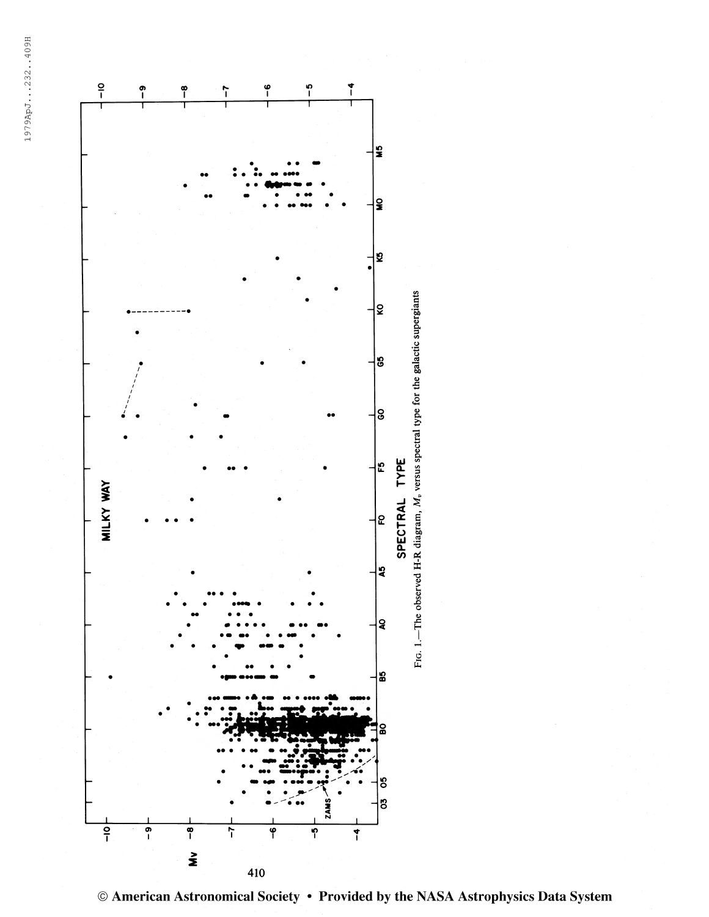1979ApJ...232..409H



<sup>©</sup> American Astronomical Society • Provided by the NASA Astrophysics Data System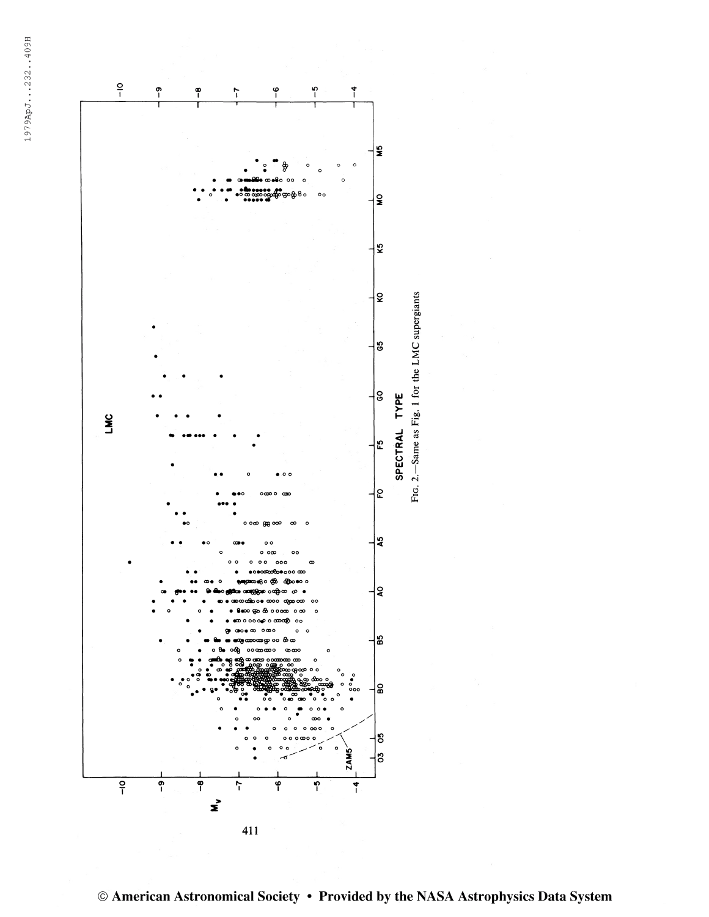1979ApJ...232..409H

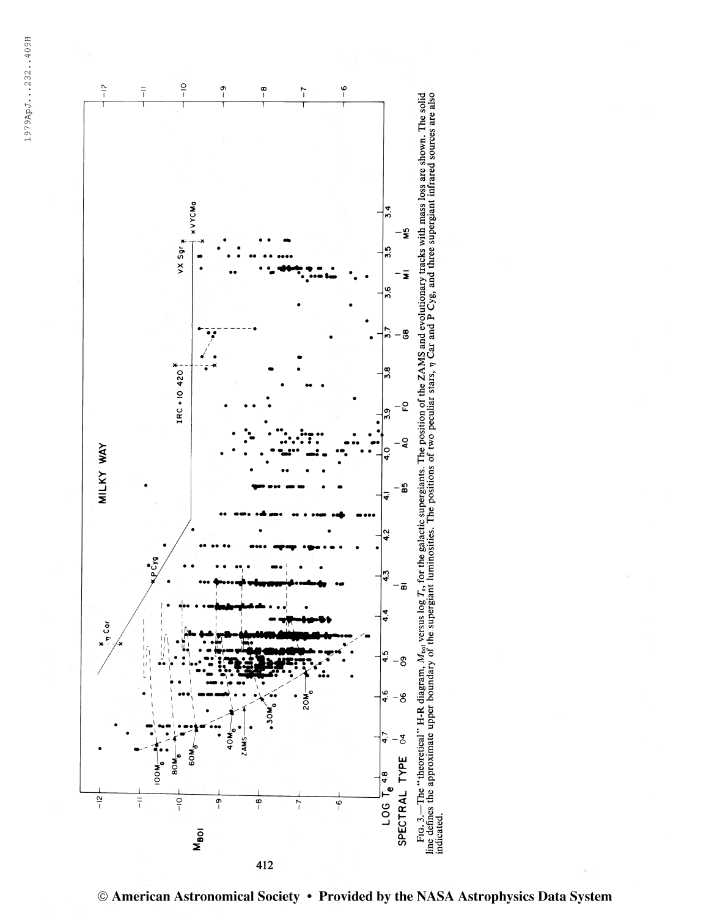1979ApJ...232..409H

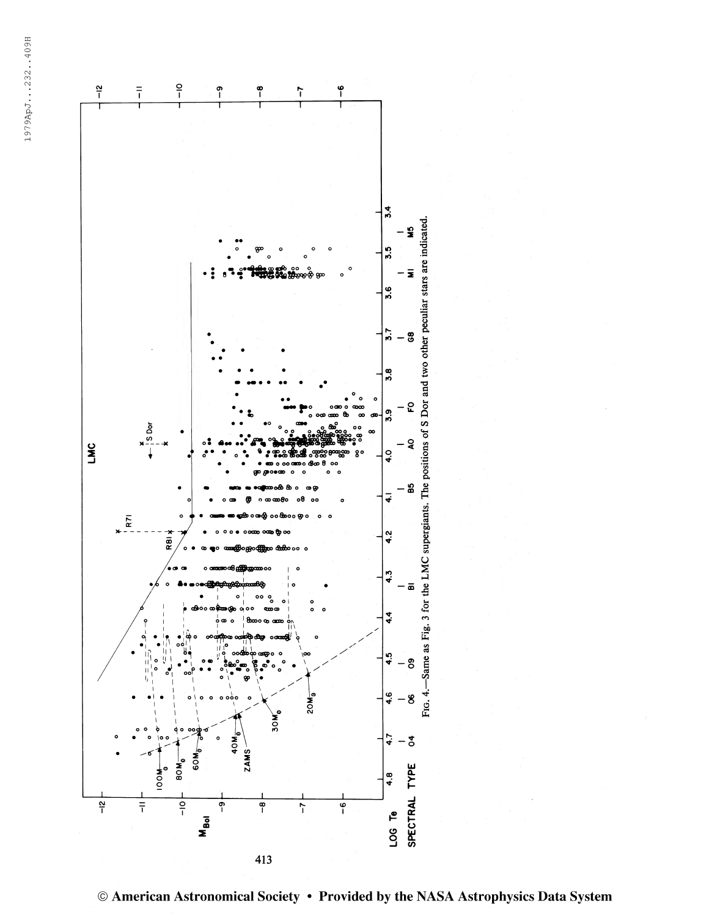

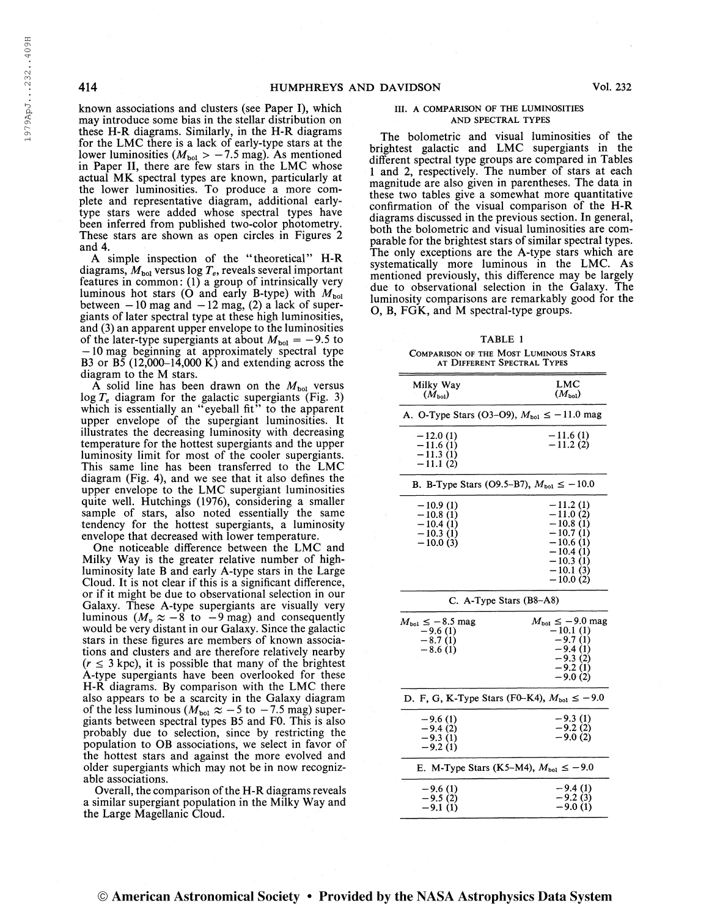1979ApJ...232..409H

known associations and clusters (see Paper I), which may introduce some bias in the stellar distribution on these H-R diagrams. Similarly, in the H-R diagrams for the LMC there is a lack of early-type stars at the lower luminosities ( $M_{bol} > -7.5$  mag). As mentioned in Paper II, there are few stars in the LMC whose actual MK spectral types are known, particularly at the lower luminosities. To produce a more complete and representative diagram, additional earlytype stars were added whose spectral types have been inferred from published two-color photometry. These stars are shown as open circles in Figures 2 and 4.

A simple inspection of the "theoretical" H-R diagrams,  $M_{bol}$  versus log  $T_e$ , reveals several important features in common: (1) a group of intrinsically very luminous hot stars (O and early B-type) with  $M_{\text{bol}}$ between  $-10$  mag and  $-12$  mag, (2) a lack of supergiants of later spectral type at these high luminosities, and (3) an apparent upper envelope to the luminosities of the later-type supergiants at about  $M_{bol} = -9.5$  to —10 mag beginning at approximately spectral type B3 or B5  $(12,000-14,000 \text{ K})$  and extending across the diagram to the M stars.

 $\overline{A}$  solid line has been drawn on the  $M_{bol}$  versus log  $T_e$  diagram for the galactic supergiants (Fig. 3) which is essentially an "eyeball fit" to the apparent upper envelope of the supergiant luminosities. It illustrates the decreasing luminosity with decreasing temperature for the hottest supergiants and the upper luminosity limit for most of the cooler supergiants. This same line has been transferred to the LMC diagram (Fig. 4), and we see that it also defines the upper envelope to the LMC supergiant luminosities quite well. Hutchings (1976), considering a smaller sample of stars, also noted essentially the same tendency for the hottest supergiants, a luminosity envelope that decreased with lower temperature.

One noticeable difference between the LMC and Milky Way is the greater relative number of highluminosity late B and early A-type stars in the Large Cloud. It is not clear if this is a significant difference, or if it might be due to observational selection in our Galaxy. These A-type supergiants are visually very luminous  $(M_v \approx -8 \text{ to } -9 \text{ mag})$  and consequently would be very distant in our Galaxy. Since the galactic stars in these figures are members of known associations and clusters and are therefore relatively nearby  $(r \leq 3 \text{ kpc})$ , it is possible that many of the brightest A-type supergiants have been overlooked for these H-R diagrams. By comparison with the LMC there also appears to be a scarcity in the Galaxy diagram of the less luminous ( $M_{bol} \approx -5$  to  $-7.5$  mag) supergiants between spectral types B5 and F0. This is also probably due to selection, since by restricting the population to OB associations, we select in favor of the hottest stars and against the more evolved and older supergiants which may not be in now recognizable associations.

Overall, the comparison of the H-R diagrams reveals a similar supergiant population in the Milky Way and the Large Magellanic Cloud.

### III. A COMPARISON OF THE LUMINOSITIES AND SPECTRAL TYPES

The bolometric and visual luminosities of the brightest galactic and LMC supergiants in the different spectral type groups are compared in Tables <sup>1</sup> and 2, respectively. The number of stars at each magnitude are also given in parentheses. The data in these two tables give a somewhat more quantitative confirmation of the visual comparison of the H-R diagrams discussed in the previous section. In general, both the bolometric and visual luminosities are comparable for the brightest stars of similar spectral types. The only exceptions are the A-type stars which are systematically more luminous in the LMC. As mentioned previously, this difference may be largely due to observational selection in the Galaxy. The luminosity comparisons are remarkably good for the O, B, FGK, and M spectral-type groups.

TABLE <sup>1</sup> Comparison of the Most Luminous Stars at Different Spectral Types

| Milky Way<br>$(M_{\rm bol})$                                          | LMC<br>$(M_{\text{bol}})$                                                                                                  |  |  |  |  |  |
|-----------------------------------------------------------------------|----------------------------------------------------------------------------------------------------------------------------|--|--|--|--|--|
| A. O-Type Stars (O3–O9), $M_{bol} \le -11.0$ mag                      |                                                                                                                            |  |  |  |  |  |
| $-12.0(1)$<br>$-11.6(1)$<br>$-11.3(1)$<br>$-11.1(2)$                  | $-11.6(1)$<br>$-11.2(2)$                                                                                                   |  |  |  |  |  |
| B. B-Type Stars (O9.5–B7), $M_{\text{bol}} \le -10.0$                 |                                                                                                                            |  |  |  |  |  |
| $-10.9(1)$<br>$-10.8(1)$<br>$-10.4(1)$<br>$-10.3(1)$<br>$-10.0(3)$    | $-11.2(1)$<br>$-11.0(2)$<br>$-10.8(1)$<br>$-10.7(1)$<br>$-10.6(1)$<br>$-10.4(1)$<br>$-10.3(1)$<br>$-10.1(3)$<br>$-10.0(2)$ |  |  |  |  |  |
| C. A-Type Stars (B8-A8)                                               |                                                                                                                            |  |  |  |  |  |
| $M_{\text{bol}} \leq -8.5$ mag<br>$-9.6(1)$<br>$-8.7(1)$<br>$-8.6(1)$ | $M_{\rm bol} \leq -9.0$ mag<br>$-10.1(1)$<br>$-9.7(1)$<br>$-9.4(1)$<br>$-9.3(2)$<br>$-9.2(1)$<br>$-9.0(2)$                 |  |  |  |  |  |
| D. F, G, K-Type Stars (F0–K4), $M_{bol} \le -9.0$                     |                                                                                                                            |  |  |  |  |  |
| $-9.6(1)$<br>$-9.4(2)$<br>$-9.3(1)$<br>$-9.2(1)$                      | $-9.3(1)$<br>$-9.2(2)$<br>$-9.0(2)$                                                                                        |  |  |  |  |  |
| E. M-Type Stars (K5–M4), $M_{\text{bol}} \le -9.0$                    |                                                                                                                            |  |  |  |  |  |
| $-9.6(1)$<br>$-9.5(2)$<br>$-9.1(1)$                                   | $-9.4(1)$<br>$-9.2(3)$<br>$-9.0(1)$                                                                                        |  |  |  |  |  |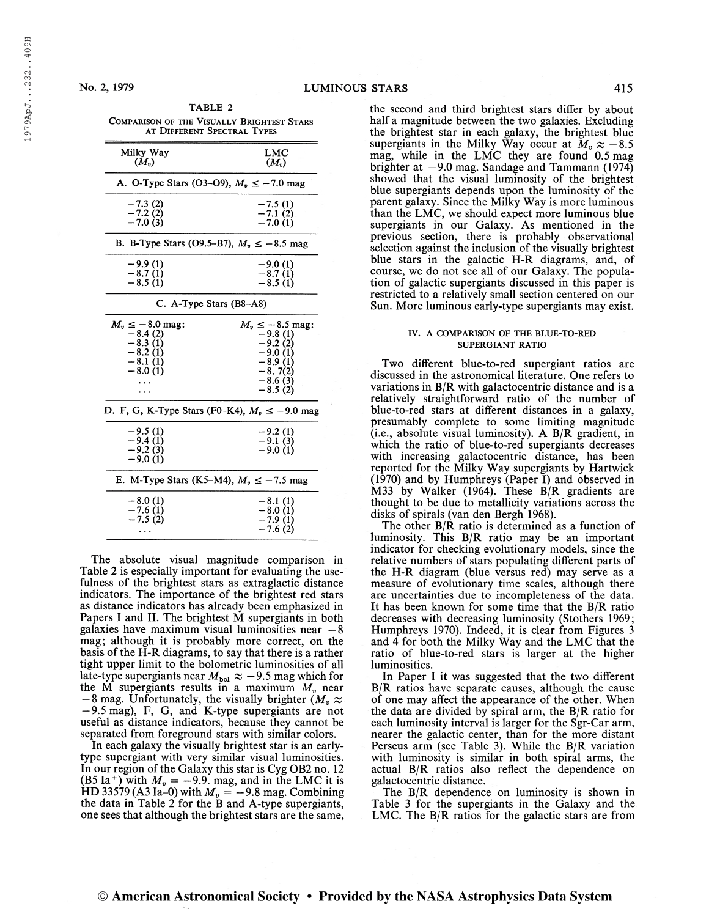| No. 2, 1979 | LUMINOUS STARS |  |
|-------------|----------------|--|
|             |                |  |

| <b>COMPARISON OF THE VISUALLY BRIGHTEST STARS</b><br>AT DIFFERENT SPECTRAL TYPES |                      |  |  |  |  |  |
|----------------------------------------------------------------------------------|----------------------|--|--|--|--|--|
| Milky Way                                                                        | LMC                  |  |  |  |  |  |
| $(M_{\nu})$                                                                      | $(M_n)$              |  |  |  |  |  |
| A. O-Type Stars (O3–O9), $M_v \le -7.0$ mag                                      |                      |  |  |  |  |  |
| $-7.3(2)$                                                                        | $-7.5(1)$            |  |  |  |  |  |
| $-7.2(2)$                                                                        |                      |  |  |  |  |  |
| $-7.0(3)$                                                                        | $-7.1(2)$<br>-7.0(1) |  |  |  |  |  |
| B. B-Type Stars (O9.5-B7), $M_v \le -8.5$ mag                                    |                      |  |  |  |  |  |
| $-9.9(1)$                                                                        | $-9.0(1)$            |  |  |  |  |  |
| $-8.7(1)$                                                                        | $-8.7(1)$            |  |  |  |  |  |
| $-8.5(1)$                                                                        | $-8.5(1)$            |  |  |  |  |  |
| C. A-Type Stars $(B8-A8)$                                                        |                      |  |  |  |  |  |
| $M_v \leq -8.0$ mag:                                                             | $M_v \le -8.5$ mag:  |  |  |  |  |  |
| $-8.4(2)$                                                                        | $-9.8(1)$            |  |  |  |  |  |
| $-8.3(1)$                                                                        | $-9.2(2)$            |  |  |  |  |  |
| $-8.2(1)$                                                                        | $-9.0(1)$            |  |  |  |  |  |
| $-8.1(1)$                                                                        | $-8.9(1)$            |  |  |  |  |  |
| $-8.0(1)$                                                                        | $-8.7(2)$            |  |  |  |  |  |
|                                                                                  | $-8.6(3)$            |  |  |  |  |  |
|                                                                                  | $-8.5(2)$            |  |  |  |  |  |
|                                                                                  |                      |  |  |  |  |  |
| D. F, G, K-Type Stars (F0–K4), $M_v \le -9.0$ mag                                |                      |  |  |  |  |  |
| $-9.5(1)$                                                                        | $-9.2(1)$            |  |  |  |  |  |
| $-9.4(1)$                                                                        | $-9.1(3)$            |  |  |  |  |  |
| $-9.2(3)$                                                                        | $-9.0(1)$            |  |  |  |  |  |
| $-9.0(1)$                                                                        |                      |  |  |  |  |  |
| E. M-Type Stars (K5–M4), $M_v \le -7.5$ mag                                      |                      |  |  |  |  |  |
| $-8.0(1)$                                                                        | $-8.1(1)$            |  |  |  |  |  |
| $-7.6(1)$                                                                        | $-8.0(1)$            |  |  |  |  |  |
| $-7.5(2)$                                                                        | $-7.9(1)$            |  |  |  |  |  |
| $\cdots$                                                                         | $-7.6(2)$            |  |  |  |  |  |
|                                                                                  |                      |  |  |  |  |  |

TABLE 2

The absolute visual magnitude comparison in Table 2 is especially important for evaluating the usefulness of the brightest stars as extraglactic distance indicators. The importance of the brightest red stars as distance indicators has already been emphasized in Papers I and II. The brightest M supergiants in both galaxies have maximum visual luminosities near  $-8$ mag; although it is probably more correct, on the basis of the H-R diagrams, to say that there is a rather tight upper limit to the bolometric luminosities of all late-type supergiants near  $M_{\text{bol}} \approx -9.5$  mag which for the M supergiants results in a maximum  $M_v$  near  $-8$  mag. Unfortunately, the visually brighter ( $M_v \approx$ — 9.5 mag), F, G, and K-type supergiants are not useful as distance indicators, because they cannot be separated from foreground stars with similar colors.

In each galaxy the visually brightest star is an earlytype supergiant with very similar visual luminosities. In our region of the Galaxy this star is Cyg OB2 no. 12  $(85 \text{ Ia}^+)$  with  $M_v = -9.9$ . mag, and in the LMC it is HD 33579 (A3 Ia–0) with  $M_v = -9.8$  mag. Combining the data in Table 2 for the B and A-type supergiants, one sees that although the brightest stars are the same, the second and third brightest stars differ by about half a magnitude between the two galaxies. Excluding the brightest star in each galaxy, the brightest blue supergiants in the Milky Way occur at  $M_v \approx -8.5$ mag, while in the LMC they are found 0.5 mag brighter at  $-9.0$  mag. Sandage and Tammann (1974) showed that the visual luminosity of the brightest blue supergiants depends upon the luminosity of the parent galaxy. Since the Milky Way is more luminous than the LMC, we should expect more luminous blue supergiants in our Galaxy. As mentioned in the previous section, there is probably observational selection against the inclusion of the visually brightest blue stars in the galactic H-R diagrams, and, of course, we do not see all of our Galaxy. The population of galactic supergiants discussed in this paper is restricted to a relatively small section centered on our Sun. More luminous early-type supergiants may exist.

### IV. A COMPARISON OF THE BLUE-TO-RED SUPERGIANT RATIO

Two different blue-to-red supergiant ratios are discussed in the astronomical literature. One refers to variations in  $B/R$  with galactocentric distance and is a relatively straightforward ratio of the number of blue-to-red stars at different distances in a galaxy, presumably complete to some limiting magnitude (i.e., absolute visual luminosity). A  $B/R$  gradient, in which the ratio of blue-to-red supergiants decreases with increasing galactocentric distance, has been reported for the Milky Way supergiants by Hartwick (1970) and by Humphreys (Paper I) and observed in M33 by Walker (1964). These B/R gradients are thought to be due to metallicity variations across the disks of spirals (van den Bergh 1968).

The other B/R ratio is determined as a function of luminosity. This B/R ratio may be an important indicator for checking evolutionary models, since the relative numbers of stars populating different parts of the H-R diagram (blue versus red) may serve as a measure of evolutionary time scales, although there are uncertainties due to incompleteness of the data. It has been known for some time that the B/R ratio decreases with decreasing luminosity (Stothers 1969; Humphreys 1970). Indeed, it is clear from Figures 3 and 4 for both the Milky Way and the LMC that the ratio of blue-to-red stars is larger at the higher luminosities.

In Paper I it was suggested that the two different B/R ratios have separate causes, although the cause of one may affect the appearance of the other. When the data are divided by spiral arm, the  $B/R$  ratio for each luminosity interval is larger for the Sgr-Car arm, nearer the galactic center, than for the more distant Perseus arm (see Table 3). While the B/R variation with luminosity is similar in both spiral arms, the actual B/R ratios also reflect the dependence on galactocentric distance.

The B/R dependence on luminosity is shown in Table 3 for the supergiants in the Galaxy and the LMC. The B/R ratios for the galactic stars are from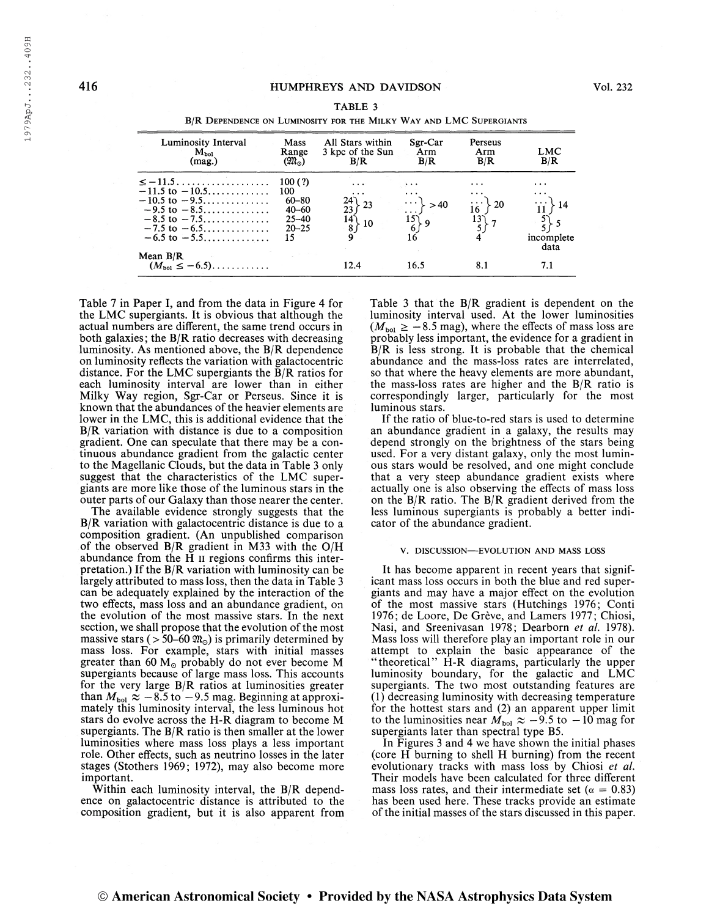1979ApJ...232..409H

| B/R DEPENDENCE ON LUMINOSITY FOR THE MILKY WAY AND LMC SUPERGIANTS |                                                                                                                                                                 |                                                                         |                                                                     |                                          |                                                                                        |                                                                                                 |  |
|--------------------------------------------------------------------|-----------------------------------------------------------------------------------------------------------------------------------------------------------------|-------------------------------------------------------------------------|---------------------------------------------------------------------|------------------------------------------|----------------------------------------------------------------------------------------|-------------------------------------------------------------------------------------------------|--|
|                                                                    | Luminosity Interval<br>$M_{bol}$<br>(max.)                                                                                                                      | Mass<br>Range<br>$(\mathfrak{M}_{\odot})$                               | All Stars within<br>3 kpc of the Sun<br>B/R                         | Sgr-Car<br>Arm<br>B/R                    | Perseus<br>Arm<br>B/R                                                                  | LMC<br>B/R                                                                                      |  |
|                                                                    | $\le$ -11.5<br>$-11.5$ to $-10.5$<br>$-10.5$ to $-9.5$<br>$-9.5 \text{ to } -8.5 \dots \dots \dots$<br>$-8.5$ to $-7.5$<br>$-7.5$ to $-6.5$<br>$-6.5$ to $-5.5$ | 100(?)<br>100<br>$60 - 80$<br>$40 - 60$<br>$25 - 40$<br>$20 - 25$<br>15 | $\cdots$<br>$\cdots$<br>$24$ 23<br>23 (<br>14 (<br>$\frac{1}{2}$ 10 | >40<br>$\overrightarrow{15}_{6}$ 9<br>16 | $\ddot{\phantom{0}}$<br>$\cdots$<br>$-20$<br>16<br>$\begin{matrix}13\\5\end{matrix}$ 7 | $\cdots$<br>$\cdots$<br>$\therefore$ 14<br>$\left\{\frac{5}{5}\right\}$ 5<br>incomplete<br>data |  |
|                                                                    | Mean $B/R$<br>$(M_{\text{bol}} \leq -6.5)$                                                                                                                      |                                                                         | 12.4                                                                | 16.5                                     | 8.1                                                                                    | 7.1                                                                                             |  |

| TABLE 3                                                            |
|--------------------------------------------------------------------|
| B/R DEPENDENCE ON LUMINOSITY FOR THE MILKY WAY AND LMC SUPERGIANTS |

Table 7 in Paper I, and from the data in Figure 4 for the LMC supergiants. It is obvious that although the actual numbers are different, the same trend occurs in both galaxies; the B/R ratio decreases with decreasing luminosity. As mentioned above, the B/R dependence on luminosity reflects the variation with galactocentric distance. For the LMC supergiants the B/R ratios for each luminosity interval are lower than in either Milky Way region, Sgr-Car or Perseus. Since it is known that the abundances of the heavier elements are lower in the LMC, this is additional evidence that the B/R variation with distance is due to a composition gradient. One can speculate that there may be a continuous abundance gradient from the galactic center to the Magellanic Clouds, but the data in Table <sup>3</sup> only suggest that the characteristics of the LMC supergiants are more like those of the luminous stars in the outer parts of our Galaxy than those nearer the center.

The available evidence strongly suggests that the B/R variation with galactocentric distance is due to a composition gradient. (An unpublished comparison of the observed B/R gradient in M33 with the O/H abundance from the  $\overline{H}$  II regions confirms this interpretation.) If the  $B/R$  variation with luminosity can be largely attributed to mass loss, then the data in Table 3 can be adequately explained by the interaction of the two effects, mass loss and an abundance gradient, on the evolution of the most massive stars. In the next section, we shall propose that the evolution of the most massive stars ( $> 50-60$   $m_{\odot}$ ) is primarily determined by mass loss. For example, stars with initial masses greater than 60  $M_{\odot}$  probably do not ever become M supergiants because of large mass loss. This accounts for the very large B/R ratios at luminosities greater than  $M_{\text{bol}} \approx -8.5$  to  $-9.5$  mag. Beginning at approximately this luminosity interval, the less luminous hot stars do evolve across the H-R diagram to become M supergiants. The B/R ratio is then smaller at the lower luminosities where mass loss plays a less important role. Other effects, such as neutrino losses in the later stages (Stothers 1969; 1972), may also become more important.

Within each luminosity interval, the B/R dependence on galactocentric distance is attributed to the composition gradient, but it is also apparent from Table 3 that the  $B/R$  gradient is dependent on the luminosity interval used. At the lower luminosities  $(M_{bol} \ge -8.5$  mag), where the effects of mass loss are probably less important, the evidence for a gradient in  $\bar{B}/R$  is less strong. It is probable that the chemical abundance and the mass-loss rates are interrelated, so that where the heavy elements are more abundant, the mass-loss rates are higher and the B/R ratio is correspondingly larger, particularly for the most luminous stars.

If the ratio of blue-to-red stars is used to determine an abundance gradient in a galaxy, the results may depend strongly on the brightness of the stars being used. For a very distant galaxy, only the most luminous stars would be resolved, and one might conclude that a very steep abundance gradient exists where actually one is also observing the effects of mass loss on the  $B/R$  ratio. The  $B/R$  gradient derived from the less luminous supergiants is probably a better indicator of the abundance gradient.

#### V. DISCUSSION—EVOLUTION AND MASS LOSS

It has become apparent in recent years that significant mass loss occurs in both the blue and red supergiants and may have a major effect on the evolution of the most massive stars (Hutchings 1976; Conti 1976; de Loore, De Grève, and Lamers 1977; Chiosi, Nasi, and Sreenivasan 1978; Dearborn et al. 1978). Mass loss will therefore play an important role in our attempt to explain the basic appearance of the "theoretical" H-R diagrams, particularly the upper luminosity boundary, for the galactic and LMC supergiants. The two most outstanding features are (1) decreasing luminosity with decreasing temperature for the hottest stars and (2) an apparent upper limit to the luminosities near  $M_{bol} \approx -9.5$  to  $-10$  mag for supergiants later than spectral type B5.

In Figures 3 and 4 we have shown the initial phases (core H burning to shell H burning) from the recent evolutionary tracks with mass loss by Chiosi et al. Their models have been calculated for three different mass loss rates, and their intermediate set ( $\alpha = 0.83$ ) has been used here. These tracks provide an estimate of the initial masses of the stars discussed in this paper.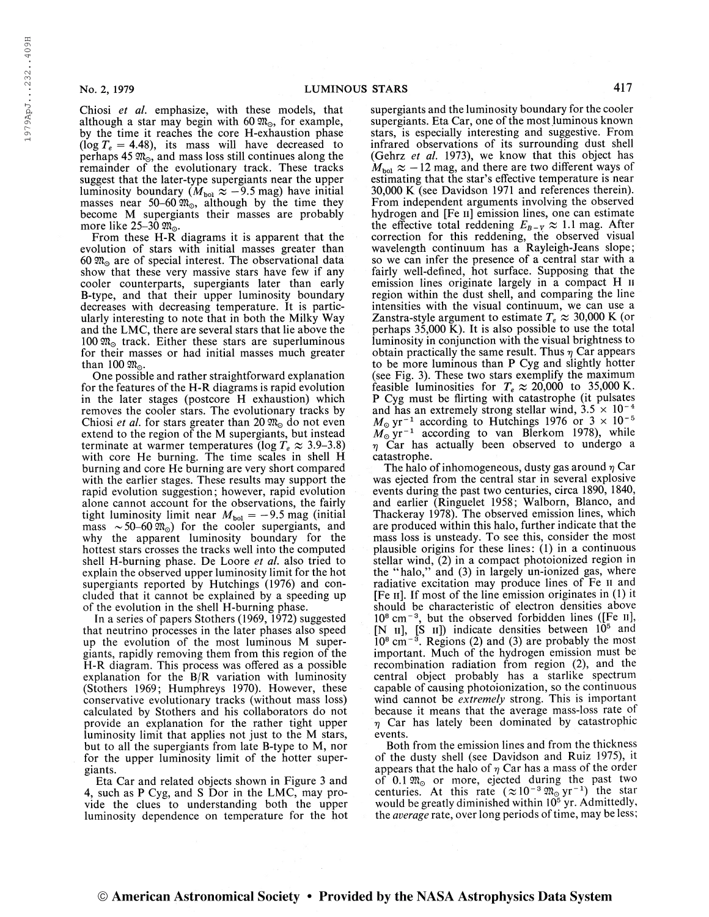1979ApJ...232..409H

Chiosi et al. emphasize, with these models, that although a star may begin with 60  $\mathfrak{M}_{\odot}$ , for example, by the time it reaches the core H-exhaustion phase (log  $T_e = 4.48$ ), its mass will have decreased to perhaps 45  $\mathfrak{M}_{\odot}$ , and mass loss still continues along the remainder of the evolutionary track. These tracks suggest that the later-type supergiants near the upper luminosity boundary  $(M_{\text{bol}} \approx -9.5 \text{ mag})$  have initial masses near 50–60  $\mathfrak{M}_{\odot}$ , although by the time they become M supergiants their masses are probably more like 25–30  $\mathfrak{M}_{\odot}$ .

From these H-R diagrams it is apparent that the evolution of stars with initial masses greater than 60  $\mathfrak{M}_{\odot}$  are of special interest. The observational data show that these very massive stars have few if any cooler counterparts, supergiants later than early B-type, and that their upper luminosity boundary decreases with decreasing temperature. It is particularly interesting to note that in both the Milky Way and the LMC, there are several stars that lie above the 100  $\mathfrak{M}_{\odot}$  track. Either these stars are superluminous for their masses or had initial masses much greater than 100  $\mathfrak{M}_{\odot}$ 

One possible and rather straightforward explanation for the features of the H-R diagrams is rapid evolution in the later stages (postcore H exhaustion) which removes the cooler stars. The evolutionary tracks by Chiosi et al. for stars greater than 20  $\mathfrak{M}_0$  do not even extend to the region of the M supergiants, but instead terminate at warmer temperatures (log  $T_e \approx 3.9$ –3.8) with core He burning. The time scales in shell H burning and core He burning are very short compared with the earlier stages. These results may support the rapid evolution suggestion; however, rapid evolution alone cannot account for the observations, the fairly tight luminosity limit near  $M_{bol} = -9.5$  mag (initial mass  $\sim 50{\text -}60$   $\mathfrak{M}_{\odot}$ ) for the cooler supergiants, and why the apparent luminosity boundary for the hottest stars crosses the tracks well into the computed shell H-burning phase. De Loore et al. also tried to explain the observed upper luminosity limit for the hot supergiants reported by Hutchings (1976) and concluded that it cannot be explained by a speeding up of the evolution in the shell H-burning phase.

In a series of papers Stothers (1969, 1972) suggested that neutrino processes in the later phases also speed up the evolution of the most luminous M supergiants, rapidly removing them from this region of the H-R diagram. This process was offered as a possible explanation for the B/R variation with luminosity (Stothers 1969; Humphreys 1970). However, these conservative evolutionary tracks (without mass loss) calculated by Stothers and his collaborators do not provide an explanation for the rather tight upper luminosity limit that applies not just to the M stars, but to all the supergiants from late B-type to M, nor for the upper luminosity limit of the hotter supergiants.

Eta Car and related objects shown in Figure 3 and 4, such as P Cyg, and S Dor in the LMC, may provide the clues to understanding both the upper luminosity dependence on temperature for the hot

supergiants and the luminosity boundary for the cooler supergiants. Eta Car, one of the most luminous known stars, is especially interesting and suggestive. From infrared observations of its surrounding dust shell (Gehrz et al. 1973), we know that this object has  $M_{\text{bol}} \approx -12$  mag, and there are two different ways of estimating that the star's effective temperature is near 30,000 K (see Davidson 1971 and references therein). From independent arguments involving the observed hydrogen and [Fe n] emission lines, one can estimate the effective total reddening  $E_{B-V} \approx 1.1$  mag. After correction for this reddening, the observed visual wavelength continuum has a Rayleigh-Jeans slope; so we can infer the presence of a central star with a fairly well-defined, hot surface. Supposing that the emission lines originate largely in a compact H II region within the dust shell, and comparing the line intensities with the visual continuum, we can use a Zanstra-style argument to estimate  $T_e \approx 30,000 \text{ K}$  (or perhaps  $35,000 \text{ K}$ ). It is also possible to use the total luminosity in conjunction with the visual brightness to obtain practically the same result. Thus  $\eta$  Car appears to be more luminous than P Cyg and slightly hotter (see Fig. 3). These two stars exemplify the maximum feasible luminosities for  $T_e \approx 20,000$  to 35,000 K. P Cyg must be flirting with catastrophe (it pulsates and has an extremely strong stellar wind,  $3.5 \times 10^{-4}$ and has an extremely strong stellar wind,  $3.5 \times 10^{-4}$ <br> $M_{\odot} \text{ yr}^{-1}$  according to Hutchings 1976 or  $3 \times 10^{-5}$  $M_{\odot}$  yr<sup>-1</sup> according to Hutchings 1976 or  $3 \times 10^{-5}$ <br> $M_{\odot}$  yr<sup>-1</sup> according to van Blerkom 1978), while  $\eta$  Car has actually been observed to undergo a catastrophe.

The halo of inhomogeneous, dusty gas around  $\eta$  Car was ejected from the central star in several explosive events during the past two centuries, circa 1890, 1840, and earlier (Ringuelet 1958; Walborn, Blanco, and Thackeray 1978). The observed emission lines, which are produced within this halo, further indicate that the mass loss is unsteady. To see this, consider the most plausible origins for these lines: (1) in a continuous stellar wind, (2) in a compact photoionized region in the "halo," and (3) in largely un-ionized gas, where radiative excitation may produce lines of Fe n and [Fe ii]. If most of the line emission originates in (1) it should be characteristic of electron densities above should be characteristic of electron densities above<br> $10^8$  cm<sup>-3</sup>, but the observed forbidden lines ([Fe ii], [N II], [S II]) indicate densities between  $10^5$  and  $10^8$  cm<sup>-3</sup>. Regions (2) and (3) are probably the most important. Much of the hydrogen emission must be recombination radiation from region (2), and the central object probably has a starlike spectrum capable of causing photoionization, so the continuous wind cannot be extremely strong. This is important because it means that the average mass-loss rate of  $\eta$  Car has lately been dominated by catastrophic events.

Both from the emission lines and from the thickness of the dusty shell (see Davidson and Ruiz 1975), it appears that the halo of  $\eta$  Car has a mass of the order of 0.1  $\mathfrak{M}_{\odot}$  or more, ejected during the past two centuries. At this rate  $(\approx 10^{-3} \, \mathfrak{M}_{\odot} \, \text{yr}^{-1})$  the star would be greatly diminished within 10<sup>5</sup> yr. Admittedly, the *average* rate, over long periods of time, may be less;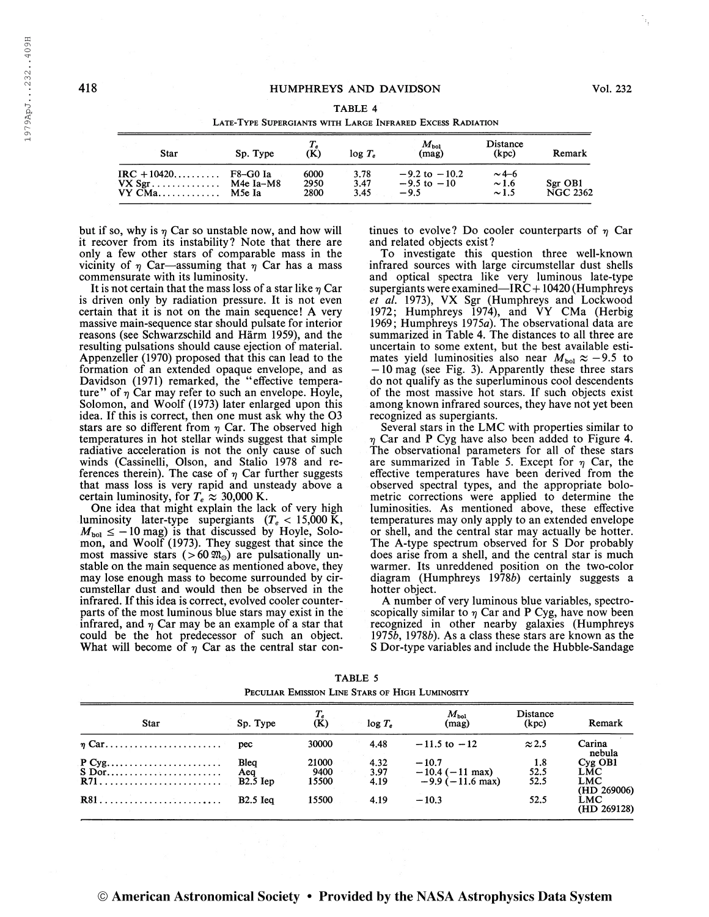1979ApJ...232..409H

#### TABLE 4

| <b>Star</b>                                                                                 | Sp. Type                        | $T_{e}$<br>(K)       | $log T_e$            | $M_{\rm bol}$<br>(mag)                         | Distance<br>(kpc)                      | Remark                     |
|---------------------------------------------------------------------------------------------|---------------------------------|----------------------|----------------------|------------------------------------------------|----------------------------------------|----------------------------|
| $\text{IRC} + 10420 \dots \dots \dots$<br>$VX Sgr. \ldots \ldots \ldots \ldots$<br>$VY$ CMa | F8-G0 Ia<br>M4e Ia–M8<br>M5e Ia | 6000<br>2950<br>2800 | 3.78<br>3.47<br>3.45 | $-9.2$ to $-10.2$<br>$-9.5$ to $-10$<br>$-9.5$ | $\sim$ 4–6<br>$\sim$ 1.6<br>$\sim$ 1.5 | Sgr OB1<br><b>NGC 2362</b> |

Late-Type Supergiants with Large Infrared Excess Radiation

but if so, why is  $\eta$  Car so unstable now, and how will it recover from its instability? Note that there are only a few other stars of comparable mass in the vicinity of  $\eta$  Car—assuming that  $\eta$  Car has a mass commensurate with its luminosity.

It is not certain that the mass loss of a star like  $\eta$  Car is driven only by radiation pressure. It is not even certain that it is not on the main sequence! A very massive main-sequence star should pulsate for interior reasons (see Schwarzschild and Härm 1959), and the resulting pulsations should cause ejection of material. Appenzeller (1970) proposed that this can lead to the formation of an extended opaque envelope, and as Davidson (1971) remarked, the "effective temperature" of  $\eta$  Car may refer to such an envelope. Hoyle, Solomon, and Woolf (1973) later enlarged upon this idea. If this is correct, then one must ask why the 03 stars are so different from  $\eta$  Car. The observed high temperatures in hot stellar winds suggest that simple radiative acceleration is not the only cause of such winds (Cassinelli, Olson, and Stalio 1978 and references therein). The case of  $\eta$  Car further suggests that mass loss is very rapid and unsteady above a certain luminosity, for  $T_e \approx 30,000$  K.

One idea that might explain the lack of very high luminosity later-type supergiants  $(T_e < 15,000 \text{ K},$  $M_{\text{bol}} \leq -10$  mag) is that discussed by Hoyle, Solomon, and Woolf (1973). They suggest that since the most massive stars (>60 $\omega$ <sup>o</sup>) are pulsationally unstable on the main sequence as mentioned above, they may lose enough mass to become surrounded by circumstellar dust and would then be observed in the infrared. If this idea is correct, evolved cooler counterparts of the most luminous blue stars may exist in the infrared, and  $\eta$  Car may be an example of a star that could be the hot predecessor of such an object. What will become of  $\eta$  Car as the central star continues to evolve? Do cooler counterparts of  $\eta$  Car and related objects exist?

To investigate this question three well-known infrared sources with large circumstellar dust shells and optical spectra like very luminous late-type supergiants were examined—IRC +  $10420$  (Humphreys et al. 1973), VX Sgr (Humphreys and Lockwood 1972; Humphreys 1974), and VY CMa (Herbig 1969; Humphreys 1975a). The observational data are summarized in Table 4. The distances to all three are uncertain to some extent, but the best available estimates yield luminosities also near  $M_{bol} \approx -9.5$  to —10 mag (see Fig. 3). Apparently these three stars do not qualify as the superluminous cool descendents of the most massive hot stars. If such objects exist among known infrared sources, they have not yet been recognized as supergiants.

Several stars in the LMC with properties similar to Car and P Cyg have also been added to Figure 4. The observational parameters for all of these stars are summarized in Table 5. Except for  $\eta$  Car, the effective temperatures have been derived from the observed spectral types, and the appropriate bolometric corrections were applied to determine the luminosities. As mentioned above, these effective temperatures may only apply to an extended envelope or shell, and the central star may actually be hotter. The A-type spectrum observed for S Dor probably does arise from a shell, and the central star is much warmer. Its unreddened position on the two-color diagram (Humphreys 19786) certainly suggests a hotter object.

A number of very luminous blue variables, spectroscopically similar to  $\eta$  Car and P Cyg, have now been recognized in other nearby galaxies (Humphreys 19756, 19786). As a class these stars are known as the S Dor-type variables and include the Hubble-Sandage

| PECULIAR EMISSION LINE STARS OF HIGH LUMINOSITY |             |            |                  |           |                           |                   |                           |
|-------------------------------------------------|-------------|------------|------------------|-----------|---------------------------|-------------------|---------------------------|
|                                                 | <b>Star</b> | Sp. Type   | $\chi^T_{\rm g}$ | $log T_e$ | $M_{\rm bol}$<br>(mag)    | Distance<br>(kpc) | Remark                    |
|                                                 | $\eta$ Car  | pec        | 30000            | 4.48      | $-11.5$ to $-12$          | $\approx$ 2.5     | Carina<br>nebula          |
|                                                 |             | Blea       | 21000            | 4.32      | $-10.7$                   | 1.8               | $Cyg$ OB1                 |
|                                                 | S Dor       | Aea        | 9400             | 3.97      | $-10.4$ ( $-11$ max)      | 52.5              | LMC                       |
|                                                 |             | $B2.5$ Iep | 15500            | 4.19      | $-9.9(-11.6 \text{ max})$ | 52.5              | <b>LMC</b><br>(HD 269006) |
|                                                 |             | $B2.5$ Iea | 15500            | 4.19      | $-10.3$                   | 52.5              | LMC<br>(HD 269128)        |

TABLE 5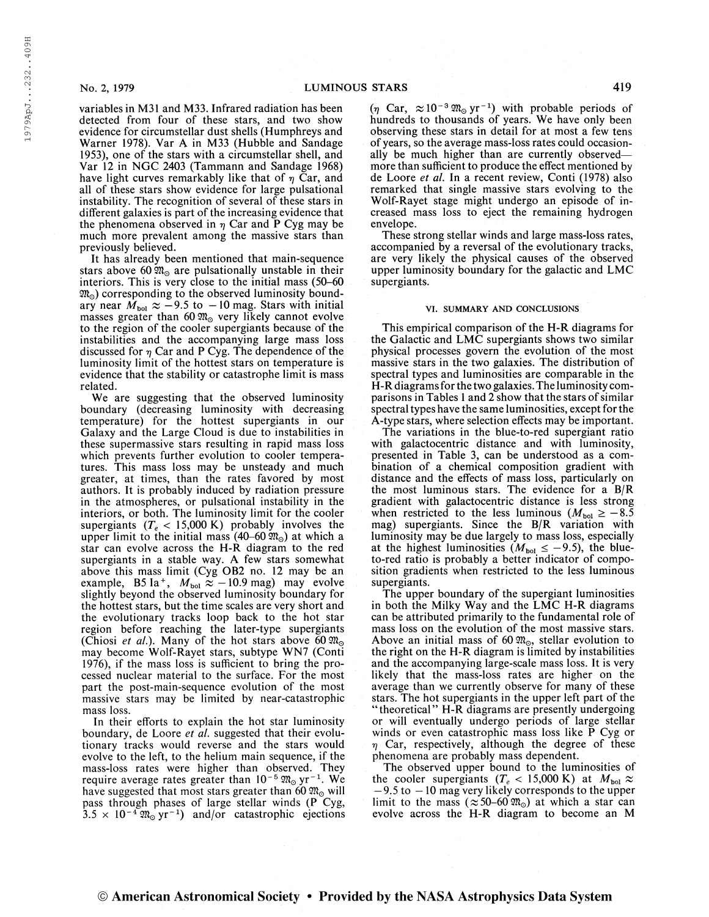1979ApJ...232..409H

variables in M31 and M33. Infrared radiation has been detected from four of these stars, and two show evidence for circumstellar dust shells (Humphreys and Warner 1978). Var A in M33 (Hubble and Sandage 1953), one of the stars with a circumstellar shell, and Var 12 in NGC 2403 (Tammann and Sandage 1968) have light curves remarkably like that of  $\eta$  Car, and all of these stars show evidence for large pulsational instability. The recognition of several of these stars in different galaxies is part of the increasing evidence that the phenomena observed in  $\eta$  Car and P Cyg may be much more prevalent among the massive stars than previously believed.

It has already been mentioned that main-sequence stars above 60  $\mathfrak{M}_{\odot}$  are pulsationally unstable in their interiors. This is very close to the initial mass (50-60  $\mathfrak{M}_{\odot}$ ) corresponding to the observed luminosity bound-<br>ary near  $M_{\text{bol}} \approx -9.5$  to  $-10$  mag. Stars with initial masses greater than 60  $\mathfrak{M}_{\odot}$  very likely cannot evolve to the region of the cooler supergiants because of the instabilities and the accompanying large mass loss discussed for  $\eta$  Car and P Cyg. The dependence of the luminosity limit of the hottest stars on temperature is evidence that the stability or catastrophe limit is mass related.

We are suggesting that the observed luminosity boundary (decreasing luminosity with decreasing temperature) for the hottest supergiants in our Galaxy and the Large Cloud is due to instabilities in these supermassive stars resulting in rapid mass loss which prevents further evolution to cooler temperatures. This mass loss may be unsteady and much greater, at times, than the rates favored by most authors. It is probably induced by radiation pressure in the atmospheres, or pulsational instability in the interiors, or both. The luminosity limit for the cooler supergiants ( $T_e$  < 15,000 K) probably involves the upper limit to the initial mass  $(40-60 \,\text{m}_\odot)$  at which a star can evolve across the H-R diagram to the red supergiants in a stable way. A few stars somewhat above this mass limit (Cyg OB2 no. 12 may be an example, B5 Ia<sup>+</sup>,  $M_{\text{bol}} \approx -10.9$  mag) may evolve slightly beyond the observed luminosity boundary for the hottest stars, but the time scales are very short and the evolutionary tracks loop back to the hot star region before reaching the later-type supergiants (Chiosi *et al.*). Many of the hot stars above 60  $\mathfrak{M}_{\odot}$ may become Wolf-Rayet stars, subtype WN7 (Conti 1976), if the mass loss is sufficient to bring the processed nuclear material to the surface. For the most part the post-main-sequence evolution of the most massive stars may be limited by near-catastrophic mass loss.

In their efforts to explain the hot star luminosity boundary, de Loore et al. suggested that their evolutionary tracks would reverse and the stars would evolve to the left, to the helium main sequence, if the mass-loss rates were higher than observed. They<br>require average rates greater than  $10^{-5} \mathfrak{M}_{\odot} \, \text{yr}^{-1}$ . We have suggested that most stars greater than 60  $\mathfrak{M}_{\odot}$  will pass through phases of large stellar winds (P Cyg,  $3.5 \times 10^{-4} \, \text{m}_\odot \, \text{yr}^{-1}$ ) and/or catastrophic ejections

 $(\eta \text{ Car}, \approx 10^{-3} \, \text{m}_\odot \text{ yr}^{-1})$  with probable periods of hundreds to thousands of years. We have only been observing these stars in detail for at most a few tens ofyears, so the average mass-loss rates could occasionally be much higher than are currently observed more than sufficient to produce the effect mentioned by de Loore et al. In a recent review, Conti (1978) also remarked that single massive stars evolving to the Wolf-Rayet stage might undergo an episode of increased mass loss to eject the remaining hydrogen envelope.

These strong stellar winds and large mass-loss rates, accompanied by a reversal of the evolutionary tracks, are very likely the physical causes of the observed upper luminosity boundary for the galactic and LMC supergiants.

#### VI. SUMMARY AND CONCLUSIONS

This empirical comparison of the H-R diagrams for the Galactic and LMC supergiants shows two similar physical processes govern the evolution of the most massive stars in the two galaxies. The distribution of spectral types and luminosities are comparable in the H-R diagramsforthe two galaxies. The luminosity comparisons in Tables 1 and 2 show that the stars of similar spectral types have the same luminosities, except for the A-type stars, where selection effects may be important.

The variations in the blue-to-red supergiant ratio with galactocentric distance and with luminosity, presented in Table 3, can be understood as a combination of a chemical composition gradient with distance and the effects of mass loss, particularly on the most luminous stars. The evidence for a B/R gradient with galactocentric distance is less strong when restricted to the less luminous ( $M_{bol} \ge -8.5$ mag) supergiants. Since the B/R variation with luminosity may be due largely to mass loss, especially at the highest luminosities ( $M_{bol} \le -9.5$ ), the blueto-red ratio is probably a better indicator of composition gradients when restricted to the less luminous supergiants.

The upper boundary of the supergiant luminosities in both the Milky Way and the LMC H-R diagrams can be attributed primarily to the fundamental role of mass loss on the evolution of the most massive stars. Above an initial mass of 60  $\mathfrak{M}_{\odot}$ , stellar evolution to the right on the H-R diagram is limited by instabilities and the accompanying large-scale mass loss. It is very likely that the mass-loss rates are higher on the average than we currently observe for many of these stars. The hot supergiants in the upper left part of the "theoretical" H-R diagrams are presently undergoing or will eventually undergo periods of large stellar winds or even catastrophic mass loss like P Cyg or  $\eta$  Car, respectively, although the degree of these phenomena are probably mass dependent.

The observed upper bound to the luminosities of the cooler supergiants  $(T_e < 15,000 \text{ K})$  at  $M_{bol} \approx$  $-9.5$  to  $-10$  mag very likely corresponds to the upper limit to the mass ( $\approx 50$ -60  $\mathfrak{M}_{\odot}$ ) at which a star can evolve across the H-R diagram to become an M